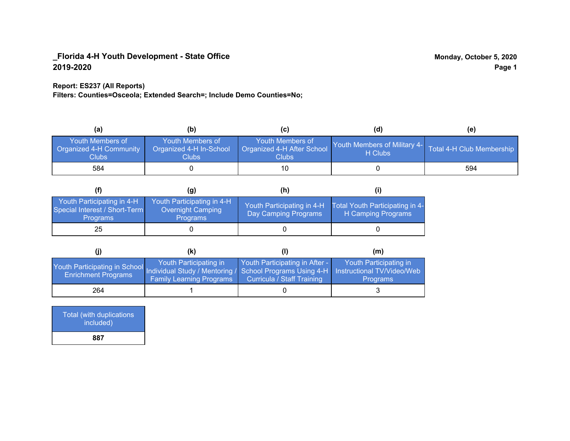### **Report: ES237 (All Reports)**

**Filters: Counties=Osceola; Extended Search=; Include Demo Counties=No;**

| (a)                                                         | (b)                                                   | (C)                                                       | (d)                                                               | (e) |
|-------------------------------------------------------------|-------------------------------------------------------|-----------------------------------------------------------|-------------------------------------------------------------------|-----|
| <b>Youth Members of</b><br>Organized 4-H Community<br>Clubs | Youth Members of<br>Organized 4-H In-School<br>Clubs: | Youth Members of<br>Organized 4-H After School<br>Clubs : | Youth Members of Military 4- Total 4-H Club Membership<br>H Clubs |     |
| 584                                                         |                                                       |                                                           |                                                                   | 594 |

|                                                                                | (g)                                                                | (h)                                                |                                                       |
|--------------------------------------------------------------------------------|--------------------------------------------------------------------|----------------------------------------------------|-------------------------------------------------------|
| Youth Participating in 4-H<br>Special Interest / Short-Term<br><b>Programs</b> | Youth Participating in 4-H<br>Overnight Camping<br><b>Programs</b> | Youth Participating in 4-H<br>Day Camping Programs | Total Youth Participating in 4-<br>H Camping Programs |
| 25                                                                             |                                                                    |                                                    |                                                       |

|                                                                                                                                                 | (k)                                                       |                                                                     | (m)                                       |
|-------------------------------------------------------------------------------------------------------------------------------------------------|-----------------------------------------------------------|---------------------------------------------------------------------|-------------------------------------------|
| Youth Participating in School Individual Study / Mentoring / School Programs Using 4-H Instructional TV/Video/Web<br><b>Enrichment Programs</b> | Youth Participating in<br><b>Family Learning Programs</b> | Youth Participating in After -<br><b>Curricula / Staff Training</b> | Youth Participating in<br><b>Programs</b> |
| 264                                                                                                                                             |                                                           |                                                                     |                                           |

Total (with duplications included) **887**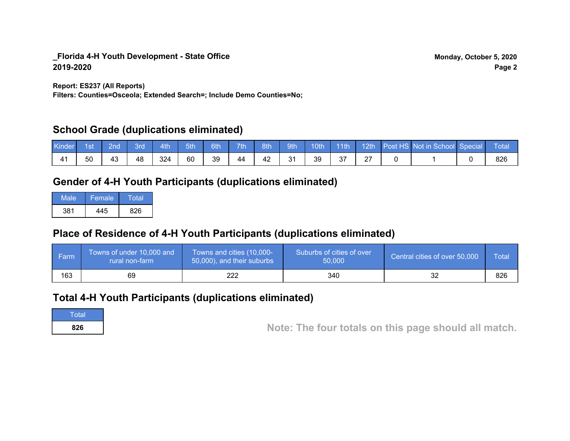**Report: ES237 (All Reports)**

**Filters: Counties=Osceola; Extended Search=; Include Demo Counties=No;**

## **School Grade (duplications eliminated)**

| <b>Kinder</b> | 1st | 2nd | 3rd | 4th | 5th | 6th | 7th | 8th | sth <sup>1</sup> | 10th | 11th | $\vert$ 12th $\vert$ | Post HS Not in School Special | Total |
|---------------|-----|-----|-----|-----|-----|-----|-----|-----|------------------|------|------|----------------------|-------------------------------|-------|
|               | 50  | 43  | 48  | 324 | 60  | 39  | 44  | 42  | 31               | 39   | 37   | $\sim$<br><u>L</u>   |                               | 826   |

# **Gender of 4-H Youth Participants (duplications eliminated)**

| Male | Female | Total |
|------|--------|-------|
| 381  | 445    | 826   |

# **Place of Residence of 4-H Youth Participants (duplications eliminated)**

| Farm | Towns of under 10,000 and<br>rural non-farm | Towns and cities (10,000-<br>50,000), and their suburbs | Suburbs of cities of over<br>50,000 | Central cities of over 50,000 | <b>Total</b> |
|------|---------------------------------------------|---------------------------------------------------------|-------------------------------------|-------------------------------|--------------|
| 163  | 69                                          | 222                                                     | 340                                 |                               | 826          |

## **Total 4-H Youth Participants (duplications eliminated)**

**Total** 

**<sup>826</sup> Note: The four totals on this page should all match.**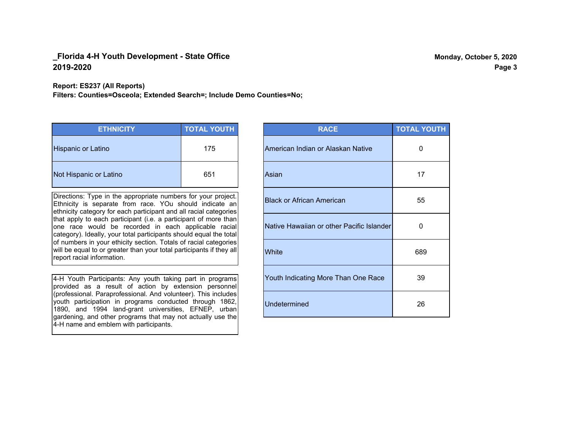**Report: ES237 (All Reports)**

**Filters: Counties=Osceola; Extended Search=; Include Demo Counties=No;**

| <b>ETHNICITY</b>          | <b>TOTAL YOUTH</b> |
|---------------------------|--------------------|
| <b>Hispanic or Latino</b> | 175                |
| Not Hispanic or Latino    | 651                |

Directions: Type in the appropriate numbers for your project. Ethnicity is separate from race. YOu should indicate an ethnicity category for each participant and all racial categories that apply to each participant (i.e. a participant of more than one race would be recorded in each applicable racial category). Ideally, your total participants should equal the total of numbers in your ethicity section. Totals of racial categories will be equal to or greater than your total participants if they all report racial information.

4-H Youth Participants: Any youth taking part in programs provided as a result of action by extension personnel (professional. Paraprofessional. And volunteer). This includes youth participation in programs conducted through 1862, 1890, and 1994 land-grant universities, EFNEP, urban gardening, and other programs that may not actually use the 4-H name and emblem with participants.

| <b>RACE</b>                               | <b>TOTAL YOUTH</b> |
|-------------------------------------------|--------------------|
| American Indian or Alaskan Native         | 0                  |
| Asian                                     | 17                 |
| <b>Black or African American</b>          | 55                 |
| Native Hawaiian or other Pacific Islander | O                  |
| White                                     | 689                |
| Youth Indicating More Than One Race       | 39                 |
| <b>Undetermined</b>                       | 26                 |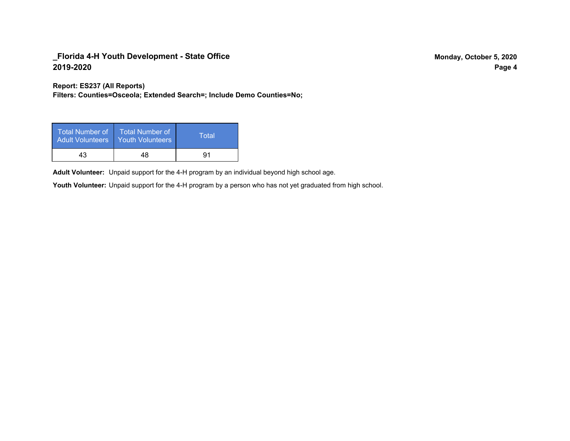**Report: ES237 (All Reports)**

**Filters: Counties=Osceola; Extended Search=; Include Demo Counties=No;**

| Total Number of<br><b>Adult Volunteers</b> | <b>Total Number of</b><br><b>Youth Volunteers</b> | Total |
|--------------------------------------------|---------------------------------------------------|-------|
| 43                                         | 48                                                | 91    |

Adult Volunteer: Unpaid support for the 4-H program by an individual beyond high school age.

Youth Volunteer: Unpaid support for the 4-H program by a person who has not yet graduated from high school.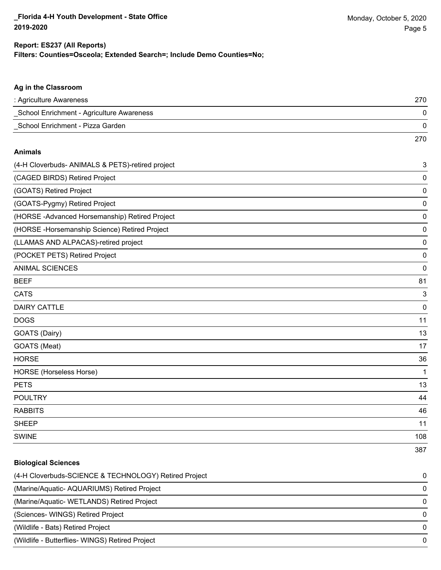#### **Filters: Counties=Osceola; Extended Search=; Include Demo Counties=No; Report: ES237 (All Reports)**

| Ag in the Classroom                              |     |
|--------------------------------------------------|-----|
| : Agriculture Awareness                          | 270 |
| School Enrichment - Agriculture Awareness        | 0   |
| School Enrichment - Pizza Garden                 | 0   |
|                                                  | 270 |
| <b>Animals</b>                                   |     |
| (4-H Cloverbuds- ANIMALS & PETS)-retired project | 3   |
| (CAGED BIRDS) Retired Project                    | 0   |
| (GOATS) Retired Project                          | 0   |
| (GOATS-Pygmy) Retired Project                    | 0   |
| (HORSE-Advanced Horsemanship) Retired Project    | 0   |
| (HORSE - Horsemanship Science) Retired Project   | 0   |
| (LLAMAS AND ALPACAS)-retired project             | 0   |
| (POCKET PETS) Retired Project                    | 0   |
| <b>ANIMAL SCIENCES</b>                           | 0   |
| <b>BEEF</b>                                      | 81  |
| <b>CATS</b>                                      | 3   |
| <b>DAIRY CATTLE</b>                              | 0   |
| <b>DOGS</b>                                      | 11  |
| GOATS (Dairy)                                    | 13  |
| GOATS (Meat)                                     | 17  |
| <b>HORSE</b>                                     | 36  |
| <b>HORSE</b> (Horseless Horse)                   | 1   |
| <b>PETS</b>                                      | 13  |
| <b>POULTRY</b>                                   | 44  |
| <b>RABBITS</b>                                   | 46  |
| <b>SHEEP</b>                                     | 11  |
| <b>SWINE</b>                                     | 108 |
|                                                  | 387 |

# **Biological Sciences** (4-H Cloverbuds-SCIENCE & TECHNOLOGY) Retired Project 0 (Marine/Aquatic- AQUARIUMS) Retired Project 0 (Marine/Aquatic- WETLANDS) Retired Project 0 (Sciences- WINGS) Retired Project 0 (Wildlife - Bats) Retired Project 0 (Wildlife - Butterflies- WINGS) Retired Project 0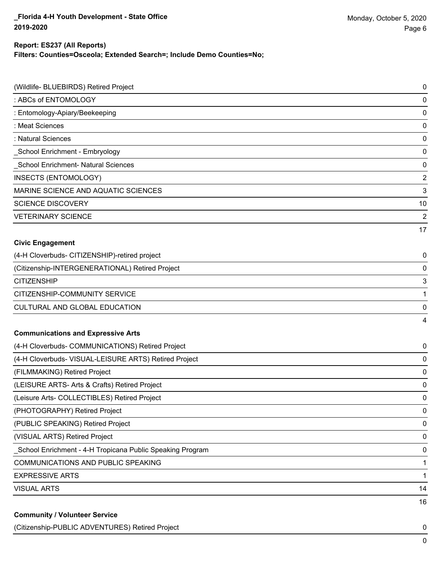#### **Report: ES237 (All Reports)**

**Filters: Counties=Osceola; Extended Search=; Include Demo Counties=No;**

| (Wildlife- BLUEBIRDS) Retired Project                     | 0              |
|-----------------------------------------------------------|----------------|
| : ABCs of ENTOMOLOGY                                      | $\pmb{0}$      |
| : Entomology-Apiary/Beekeeping                            | $\pmb{0}$      |
| : Meat Sciences                                           | $\pmb{0}$      |
| : Natural Sciences                                        | $\pmb{0}$      |
| School Enrichment - Embryology                            | 0              |
| School Enrichment- Natural Sciences                       | $\pmb{0}$      |
| <b>INSECTS (ENTOMOLOGY)</b>                               | $\mathbf 2$    |
| MARINE SCIENCE AND AQUATIC SCIENCES                       | 3              |
| <b>SCIENCE DISCOVERY</b>                                  | 10             |
| <b>VETERINARY SCIENCE</b>                                 | $\overline{2}$ |
|                                                           | 17             |
| <b>Civic Engagement</b>                                   |                |
| (4-H Cloverbuds- CITIZENSHIP)-retired project             | 0              |
| (Citizenship-INTERGENERATIONAL) Retired Project           | 0              |
| <b>CITIZENSHIP</b>                                        | $\sqrt{3}$     |
| CITIZENSHIP-COMMUNITY SERVICE                             | 1              |
| CULTURAL AND GLOBAL EDUCATION                             | 0              |
|                                                           | 4              |
| <b>Communications and Expressive Arts</b>                 |                |
| (4-H Cloverbuds- COMMUNICATIONS) Retired Project          | 0              |
| (4-H Cloverbuds- VISUAL-LEISURE ARTS) Retired Project     | 0              |
| (FILMMAKING) Retired Project                              | $\pmb{0}$      |
| (LEISURE ARTS- Arts & Crafts) Retired Project             | 0              |
| (Leisure Arts- COLLECTIBLES) Retired Project              | 0              |
| (PHOTOGRAPHY) Retired Project                             | 0              |
| (PUBLIC SPEAKING) Retired Project                         | 0              |
| (VISUAL ARTS) Retired Project                             | 0              |
| School Enrichment - 4-H Tropicana Public Speaking Program | 0              |
| COMMUNICATIONS AND PUBLIC SPEAKING                        | 1              |
| <b>EXPRESSIVE ARTS</b>                                    | 1              |
| <b>VISUAL ARTS</b>                                        | 14             |
|                                                           | 16             |
| <b>Community / Volunteer Service</b>                      |                |

(Citizenship-PUBLIC ADVENTURES) Retired Project 0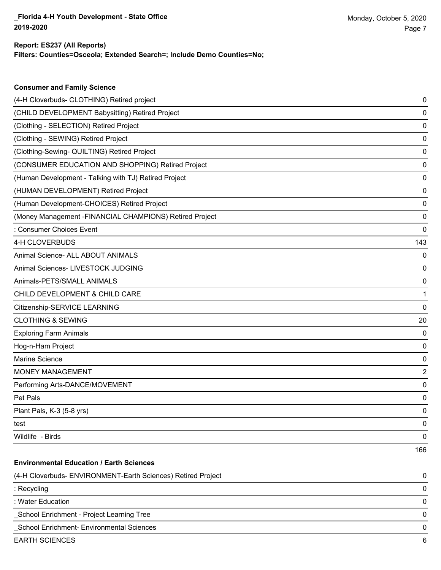#### **Filters: Counties=Osceola; Extended Search=; Include Demo Counties=No; Report: ES237 (All Reports)**

| <b>Consumer and Family Science</b>                           |     |
|--------------------------------------------------------------|-----|
| (4-H Cloverbuds- CLOTHING) Retired project                   | 0   |
| (CHILD DEVELOPMENT Babysitting) Retired Project              | 0   |
| (Clothing - SELECTION) Retired Project                       | 0   |
| (Clothing - SEWING) Retired Project                          | 0   |
| (Clothing-Sewing- QUILTING) Retired Project                  | 0   |
| (CONSUMER EDUCATION AND SHOPPING) Retired Project            | 0   |
| (Human Development - Talking with TJ) Retired Project        | 0   |
| (HUMAN DEVELOPMENT) Retired Project                          | 0   |
| (Human Development-CHOICES) Retired Project                  | 0   |
| (Money Management - FINANCIAL CHAMPIONS) Retired Project     | 0   |
| : Consumer Choices Event                                     | 0   |
| 4-H CLOVERBUDS                                               | 143 |
| Animal Science- ALL ABOUT ANIMALS                            | 0   |
| Animal Sciences- LIVESTOCK JUDGING                           | 0   |
| Animals-PETS/SMALL ANIMALS                                   | 0   |
| CHILD DEVELOPMENT & CHILD CARE                               | 1   |
| Citizenship-SERVICE LEARNING                                 | 0   |
| <b>CLOTHING &amp; SEWING</b>                                 | 20  |
| <b>Exploring Farm Animals</b>                                | 0   |
| Hog-n-Ham Project                                            | 0   |
| Marine Science                                               | 0   |
| <b>MONEY MANAGEMENT</b>                                      | 2   |
| Performing Arts-DANCE/MOVEMENT                               | 0   |
| Pet Pals                                                     | 0   |
| Plant Pals, K-3 (5-8 yrs)                                    | 0   |
| test                                                         | 0   |
| Wildlife - Birds                                             | 0   |
|                                                              | 166 |
| <b>Environmental Education / Earth Sciences</b>              |     |
| (4-H Cloverbuds- ENVIRONMENT-Earth Sciences) Retired Project | 0   |
| : Recycling                                                  | 0   |
| : Water Education                                            | 0   |
| School Enrichment - Project Learning Tree                    | 0   |
| _School Enrichment- Environmental Sciences                   | 0   |

EARTH SCIENCES 6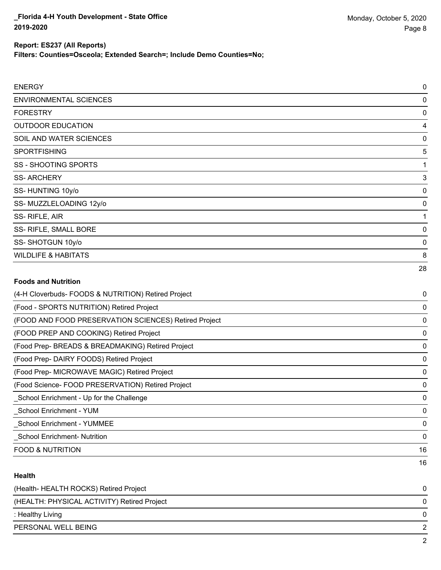#### **Report: ES237 (All Reports)**

**Filters: Counties=Osceola; Extended Search=; Include Demo Counties=No;**

| <b>ENERGY</b>                                         | 0  |
|-------------------------------------------------------|----|
| <b>ENVIRONMENTAL SCIENCES</b>                         | 0  |
| <b>FORESTRY</b>                                       | 0  |
| <b>OUTDOOR EDUCATION</b>                              | 4  |
| SOIL AND WATER SCIENCES                               | 0  |
| <b>SPORTFISHING</b>                                   | 5  |
| <b>SS - SHOOTING SPORTS</b>                           | 1  |
| <b>SS-ARCHERY</b>                                     | 3  |
| SS-HUNTING 10y/o                                      | 0  |
| SS-MUZZLELOADING 12y/o                                | 0  |
| SS-RIFLE, AIR                                         | 1  |
| SS- RIFLE, SMALL BORE                                 | 0  |
| SS-SHOTGUN 10y/o                                      | 0  |
| <b>WILDLIFE &amp; HABITATS</b>                        | 8  |
|                                                       | 28 |
| <b>Foods and Nutrition</b>                            |    |
| (4-H Cloverbuds- FOODS & NUTRITION) Retired Project   | 0  |
| (Food - SPORTS NUTRITION) Retired Project             | 0  |
| (FOOD AND FOOD PRESERVATION SCIENCES) Retired Project | 0  |
| (FOOD PREP AND COOKING) Retired Project               | 0  |

(Food Prep- BREADS & BREADMAKING) Retired Project 0

(Food Prep- DAIRY FOODS) Retired Project 0

(Food Prep- MICROWAVE MAGIC) Retired Project 0

(Food Science- FOOD PRESERVATION) Retired Project 0 \_School Enrichment - Up for the Challenge 0

\_School Enrichment - YUM 0

\_School Enrichment - YUMMEE 0

\_School Enrichment- Nutrition 0

FOOD & NUTRITION 16

#### **Health**

| (Health-HEALTH ROCKS) Retired Project       |   |
|---------------------------------------------|---|
| (HEALTH: PHYSICAL ACTIVITY) Retired Project | 0 |
| : Healthy Living                            |   |
| PERSONAL WELL BEING                         |   |
|                                             |   |

16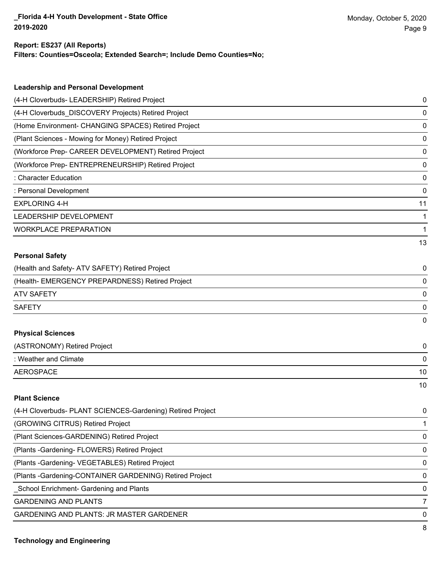#### **Report: ES237 (All Reports)**

**Filters: Counties=Osceola; Extended Search=; Include Demo Counties=No;**

| <b>Leadership and Personal Development</b>                 |    |
|------------------------------------------------------------|----|
| (4-H Cloverbuds- LEADERSHIP) Retired Project               | 0  |
| (4-H Cloverbuds_DISCOVERY Projects) Retired Project        | 0  |
| (Home Environment- CHANGING SPACES) Retired Project        | 0  |
| (Plant Sciences - Mowing for Money) Retired Project        | 0  |
| (Workforce Prep- CAREER DEVELOPMENT) Retired Project       | 0  |
| (Workforce Prep- ENTREPRENEURSHIP) Retired Project         | 0  |
| : Character Education                                      | 0  |
| : Personal Development                                     | 0  |
| <b>EXPLORING 4-H</b>                                       | 11 |
| LEADERSHIP DEVELOPMENT                                     | 1  |
| <b>WORKPLACE PREPARATION</b>                               | 1  |
|                                                            | 13 |
| <b>Personal Safety</b>                                     |    |
| (Health and Safety- ATV SAFETY) Retired Project            | 0  |
| (Health- EMERGENCY PREPARDNESS) Retired Project            | 0  |
| <b>ATV SAFETY</b>                                          | 0  |
| <b>SAFETY</b>                                              | 0  |
|                                                            | 0  |
| <b>Physical Sciences</b>                                   |    |
| (ASTRONOMY) Retired Project                                | 0  |
| : Weather and Climate                                      | 0  |
| <b>AEROSPACE</b>                                           | 10 |
|                                                            | 10 |
| <b>Plant Science</b>                                       |    |
| (4-H Cloverbuds- PLANT SCIENCES-Gardening) Retired Project | 0  |
| (GROWING CITRUS) Retired Project                           | 1  |
| (Plant Sciences-GARDENING) Retired Project                 | 0  |
| (Plants - Gardening - FLOWERS) Retired Project             | 0  |
| (Plants - Gardening - VEGETABLES) Retired Project          | 0  |
| (Plants - Gardening-CONTAINER GARDENING) Retired Project   | 0  |

\_School Enrichment- Gardening and Plants 0

**GARDENING AND PLANTS** 7

GARDENING AND PLANTS: JR MASTER GARDENER 0